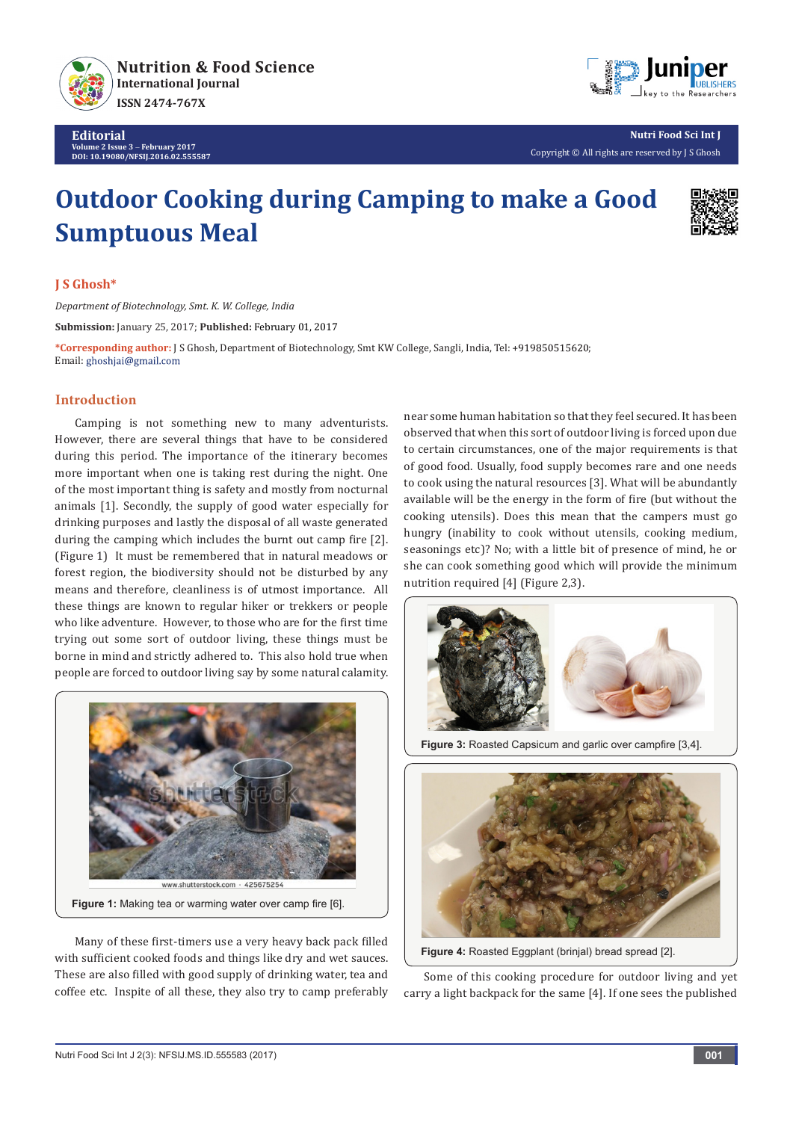

**Editorial Volume 2 Issue 3** - **February 2017 DOI: [10.19080/NFSIJ.2016.02.555587](http://dx.doi.org/10.19080/NFSIJ.2016.02.555587)**



**Nutri Food Sci Int J** Copyright © All rights are reserved by J S Ghosh

# **Outdoor Cooking during Camping to make a Good Sumptuous Meal**



## **J S Ghosh\***

*Department of Biotechnology, Smt. K. W. College, India*

**Submission:** January 25, 2017; **Published:** February 01, 2017

**\*Corresponding author:** J S Ghosh, Department of Biotechnology, Smt KW College, Sangli, India, Tel: ; Email: ghoshjai@gmail.com

## **Introduction**

Camping is not something new to many adventurists. However, there are several things that have to be considered during this period. The importance of the itinerary becomes more important when one is taking rest during the night. One of the most important thing is safety and mostly from nocturnal animals [1]. Secondly, the supply of good water especially for drinking purposes and lastly the disposal of all waste generated during the camping which includes the burnt out camp fire [2]. (Figure 1) It must be remembered that in natural meadows or forest region, the biodiversity should not be disturbed by any means and therefore, cleanliness is of utmost importance. All these things are known to regular hiker or trekkers or people who like adventure. However, to those who are for the first time trying out some sort of outdoor living, these things must be borne in mind and strictly adhered to. This also hold true when people are forced to outdoor living say by some natural calamity.



Many of these first-timers use a very heavy back pack filled with sufficient cooked foods and things like dry and wet sauces. These are also filled with good supply of drinking water, tea and coffee etc. Inspite of all these, they also try to camp preferably near some human habitation so that they feel secured. It has been observed that when this sort of outdoor living is forced upon due to certain circumstances, one of the major requirements is that of good food. Usually, food supply becomes rare and one needs to cook using the natural resources [3]. What will be abundantly available will be the energy in the form of fire (but without the cooking utensils). Does this mean that the campers must go hungry (inability to cook without utensils, cooking medium, seasonings etc)? No; with a little bit of presence of mind, he or she can cook something good which will provide the minimum nutrition required [4] (Figure 2,3).





**Figure 4:** Roasted Eggplant (brinjal) bread spread [2].

Some of this cooking procedure for outdoor living and yet carry a light backpack for the same [4]. If one sees the published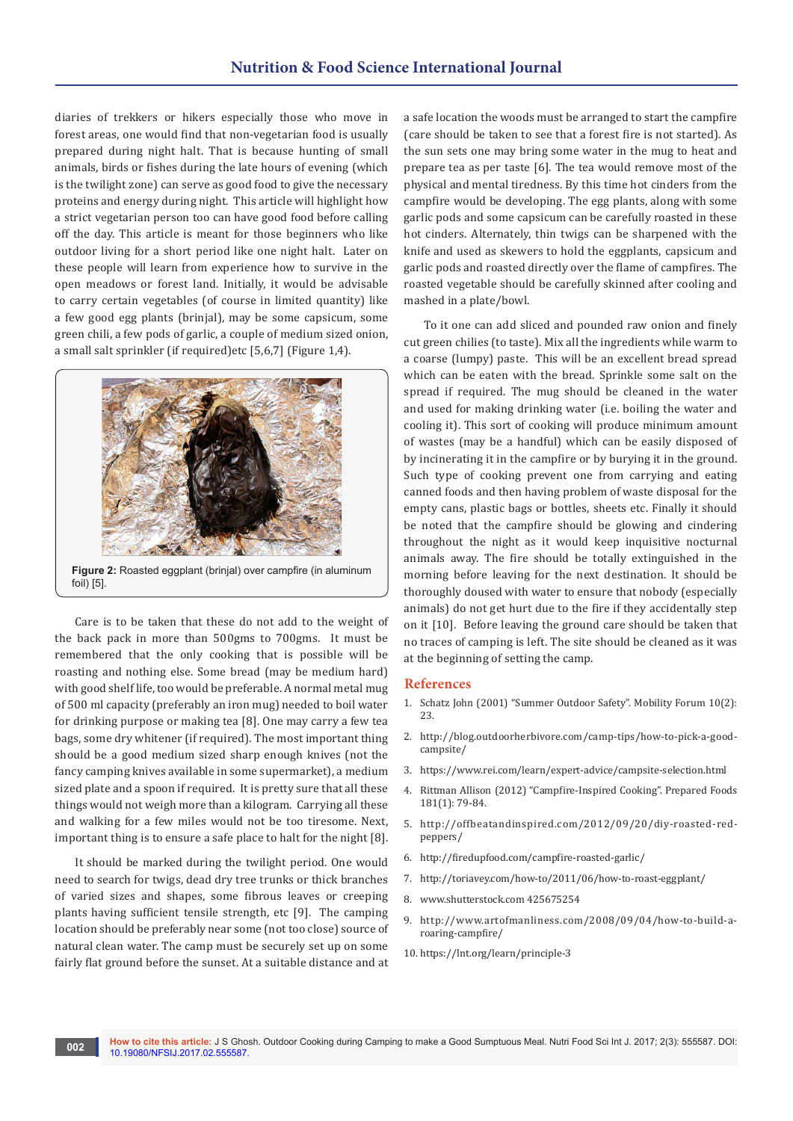diaries of trekkers or hikers especially those who move in forest areas, one would find that non-vegetarian food is usually prepared during night halt. That is because hunting of small animals, birds or fishes during the late hours of evening (which is the twilight zone) can serve as good food to give the necessary proteins and energy during night. This article will highlight how a strict vegetarian person too can have good food before calling off the day. This article is meant for those beginners who like outdoor living for a short period like one night halt. Later on these people will learn from experience how to survive in the open meadows or forest land. Initially, it would be advisable to carry certain vegetables (of course in limited quantity) like a few good egg plants (brinjal), may be some capsicum, some green chili, a few pods of garlic, a couple of medium sized onion, a small salt sprinkler (if required)etc [5,6,7] (Figure 1,4).



Care is to be taken that these do not add to the weight of the back pack in more than 500gms to 700gms. It must be remembered that the only cooking that is possible will be roasting and nothing else. Some bread (may be medium hard) with good shelf life, too would be preferable. A normal metal mug of 500 ml capacity (preferably an iron mug) needed to boil water for drinking purpose or making tea [8]. One may carry a few tea bags, some dry whitener (if required). The most important thing should be a good medium sized sharp enough knives (not the fancy camping knives available in some supermarket), a medium sized plate and a spoon if required. It is pretty sure that all these things would not weigh more than a kilogram. Carrying all these and walking for a few miles would not be too tiresome. Next, important thing is to ensure a safe place to halt for the night [8].

It should be marked during the twilight period. One would need to search for twigs, dead dry tree trunks or thick branches of varied sizes and shapes, some fibrous leaves or creeping plants having sufficient tensile strength, etc [9]. The camping location should be preferably near some (not too close) source of natural clean water. The camp must be securely set up on some fairly flat ground before the sunset. At a suitable distance and at a safe location the woods must be arranged to start the campfire (care should be taken to see that a forest fire is not started). As the sun sets one may bring some water in the mug to heat and prepare tea as per taste [6]. The tea would remove most of the physical and mental tiredness. By this time hot cinders from the campfire would be developing. The egg plants, along with some garlic pods and some capsicum can be carefully roasted in these hot cinders. Alternately, thin twigs can be sharpened with the knife and used as skewers to hold the eggplants, capsicum and garlic pods and roasted directly over the flame of campfires. The roasted vegetable should be carefully skinned after cooling and mashed in a plate/bowl.

To it one can add sliced and pounded raw onion and finely cut green chilies (to taste). Mix all the ingredients while warm to a coarse (lumpy) paste. This will be an excellent bread spread which can be eaten with the bread. Sprinkle some salt on the spread if required. The mug should be cleaned in the water and used for making drinking water (i.e. boiling the water and cooling it). This sort of cooking will produce minimum amount of wastes (may be a handful) which can be easily disposed of by incinerating it in the campfire or by burying it in the ground. Such type of cooking prevent one from carrying and eating canned foods and then having problem of waste disposal for the empty cans, plastic bags or bottles, sheets etc. Finally it should be noted that the campfire should be glowing and cindering throughout the night as it would keep inquisitive nocturnal animals away. The fire should be totally extinguished in the morning before leaving for the next destination. It should be thoroughly doused with water to ensure that nobody (especially animals) do not get hurt due to the fire if they accidentally step on it [10]. Before leaving the ground care should be taken that no traces of camping is left. The site should be cleaned as it was at the beginning of setting the camp.

#### **References**

- 1. Schatz John (2001) "Summer Outdoor Safety". Mobility Forum 10(2): 23.
- 2. [http://blog.outdoorherbivore.com/camp-tips/how-to-pick-a-good](http://blog.outdoorherbivore.com/camp-tips/how-to-pick-a-good-campsite/)[campsite/](http://blog.outdoorherbivore.com/camp-tips/how-to-pick-a-good-campsite/)
- 3. <https://www.rei.com/learn/expert-advice/campsite-selection.html>
- 4. [Rittman Allison \(2012\) "Campfire-Inspired Cooking". Prepared Foods](http://www.preparedfoods.com/articles/110740-campfireinspired-cooking)  [181\(1\): 79-84.](http://www.preparedfoods.com/articles/110740-campfireinspired-cooking)
- 5. [http://offbeatandinspired.com/2012/09/20/diy-roasted-red](http://offbeatandinspired.com/2012/09/20/diy-roasted-red-peppers/)[peppers/](http://offbeatandinspired.com/2012/09/20/diy-roasted-red-peppers/)
- 6. <http://firedupfood.com/campfire-roasted-garlic/>
- 7. <http://toriavey.com/how-to/2011/06/how-to-roast-eggplant/>
- 8. www.shutterstock.com 425675254
- 9. [http://www.artofmanliness.com/2008/09/04/how-to-build-a](http://www.artofmanliness.com/2008/09/04/how-to-build-a-roaring-campfire/)[roaring-campfire/](http://www.artofmanliness.com/2008/09/04/how-to-build-a-roaring-campfire/)
- 10. <https://lnt.org/learn/principle-3>